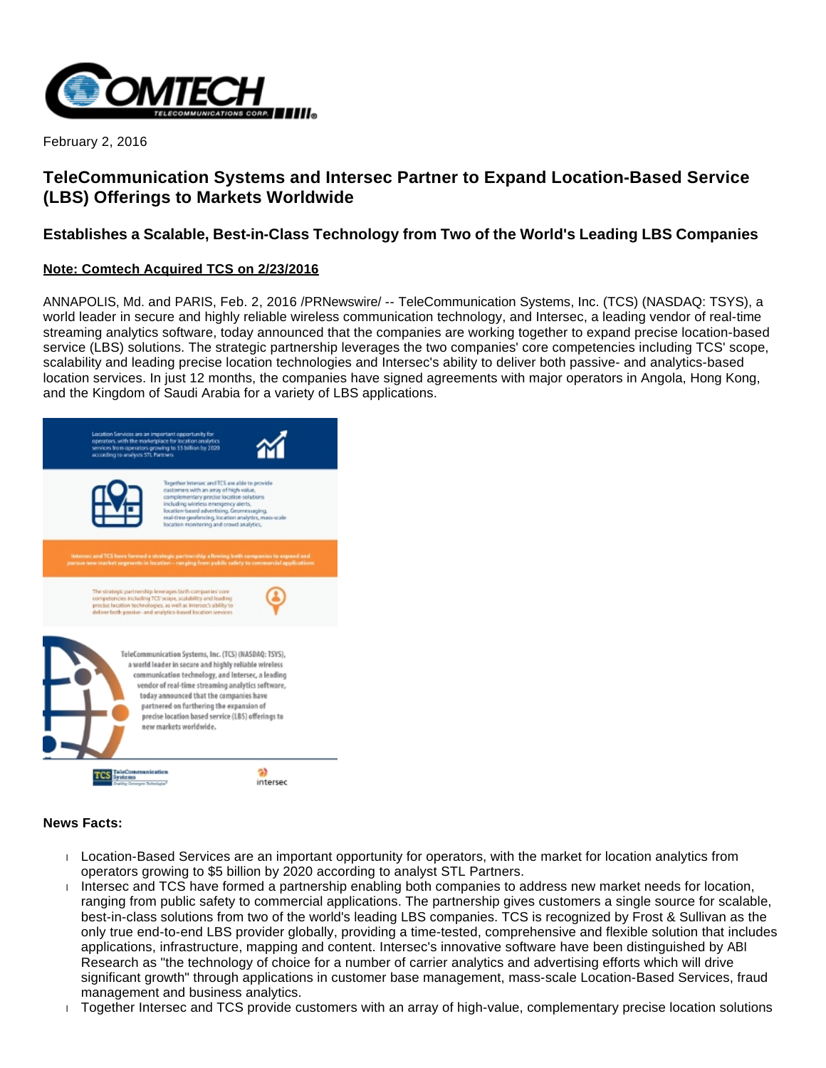

February 2, 2016

# **TeleCommunication Systems and Intersec Partner to Expand Location-Based Service (LBS) Offerings to Markets Worldwide**

# **Establishes a Scalable, Best-in-Class Technology from Two of the World's Leading LBS Companies**

# **Note: Comtech Acquired TCS on 2/23/2016**

ANNAPOLIS, Md. and PARIS, Feb. 2, 2016 /PRNewswire/ -- TeleCommunication Systems, Inc. (TCS) (NASDAQ: TSYS), a world leader in secure and highly reliable wireless communication technology, and Intersec, a leading vendor of real-time streaming analytics software, today announced that the companies are working together to expand precise location-based service (LBS) solutions. The strategic partnership leverages the two companies' core competencies including TCS' scope, scalability and leading precise location technologies and Intersec's ability to deliver both passive- and analytics-based location services. In just 12 months, the companies have signed agreements with major operators in Angola, Hong Kong, and the Kingdom of Saudi Arabia for a variety of LBS applications.



## **News Facts:**

- Location-Based Services are an important opportunity for operators, with the market for location analytics from operators growing to \$5 billion by 2020 according to analyst STL Partners.
- Intersec and TCS have formed a partnership enabling both companies to address new market needs for location, ranging from public safety to commercial applications. The partnership gives customers a single source for scalable, best-in-class solutions from two of the world's leading LBS companies. TCS is recognized by Frost & Sullivan as the only true end-to-end LBS provider globally, providing a time-tested, comprehensive and flexible solution that includes applications, infrastructure, mapping and content. Intersec's innovative software have been distinguished by ABI Research as "the technology of choice for a number of carrier analytics and advertising efforts which will drive significant growth" through applications in customer base management, mass-scale Location-Based Services, fraud management and business analytics.
- Together Intersec and TCS provide customers with an array of high-value, complementary precise location solutions